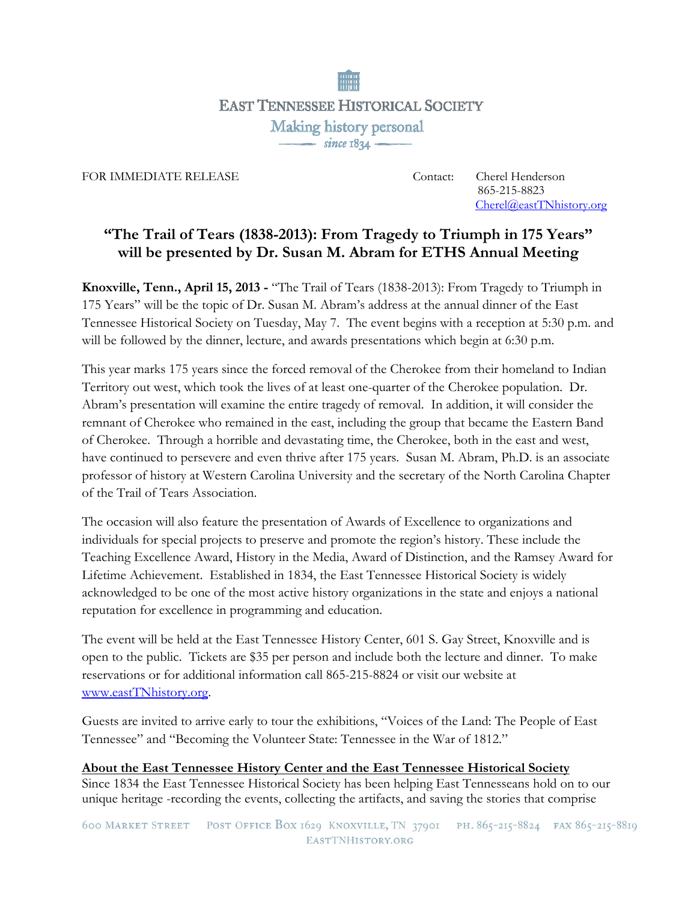

FOR IMMEDIATE RELEASE Contact: Cherel Henderson<br>
865-215-8823 865-215-8823 Cherel@eastTNhistory.org

## **"The Trail of Tears (1838-2013): From Tragedy to Triumph in 175 Years" will be presented by Dr. Susan M. Abram for ETHS Annual Meeting**

**Knoxville, Tenn., April 15, 2013 -** "The Trail of Tears (1838-2013): From Tragedy to Triumph in 175 Years" will be the topic of Dr. Susan M. Abram's address at the annual dinner of the East Tennessee Historical Society on Tuesday, May 7. The event begins with a reception at 5:30 p.m. and will be followed by the dinner, lecture, and awards presentations which begin at 6:30 p.m.

This year marks 175 years since the forced removal of the Cherokee from their homeland to Indian Territory out west, which took the lives of at least one-quarter of the Cherokee population. Dr. Abram's presentation will examine the entire tragedy of removal. In addition, it will consider the remnant of Cherokee who remained in the east, including the group that became the Eastern Band of Cherokee. Through a horrible and devastating time, the Cherokee, both in the east and west, have continued to persevere and even thrive after 175 years. Susan M. Abram, Ph.D. is an associate professor of history at Western Carolina University and the secretary of the North Carolina Chapter of the Trail of Tears Association.

The occasion will also feature the presentation of Awards of Excellence to organizations and individuals for special projects to preserve and promote the region's history. These include the Teaching Excellence Award, History in the Media, Award of Distinction, and the Ramsey Award for Lifetime Achievement. Established in 1834, the East Tennessee Historical Society is widely acknowledged to be one of the most active history organizations in the state and enjoys a national reputation for excellence in programming and education.

The event will be held at the East Tennessee History Center, 601 S. Gay Street, Knoxville and is open to the public. Tickets are \$35 per person and include both the lecture and dinner. To make reservations or for additional information call 865-215-8824 or visit our website at www.eastTNhistory.org.

Guests are invited to arrive early to tour the exhibitions, "Voices of the Land: The People of East Tennessee" and "Becoming the Volunteer State: Tennessee in the War of 1812."

**About the East Tennessee History Center and the East Tennessee Historical Society** Since 1834 the East Tennessee Historical Society has been helping East Tennesseans hold on to our unique heritage -recording the events, collecting the artifacts, and saving the stories that comprise